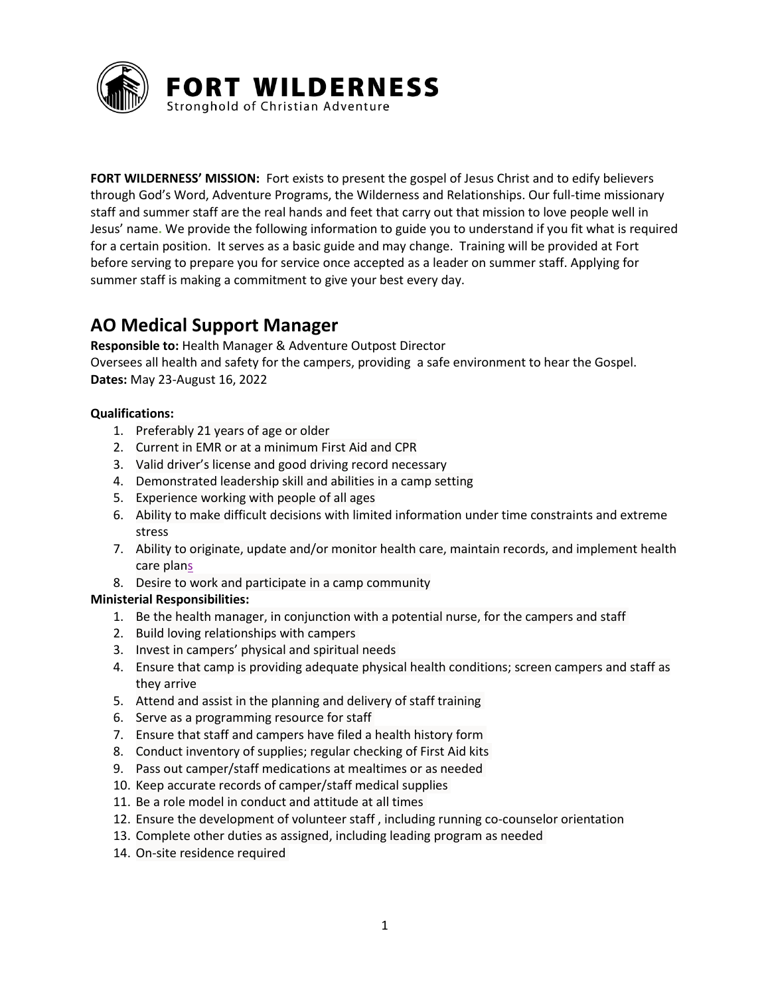

**FORT WILDERNESS' MISSION:** Fort exists to present the gospel of Jesus Christ and to edify believers through God's Word, Adventure Programs, the Wilderness and Relationships. Our full-time missionary staff and summer staff are the real hands and feet that carry out that mission to love people well in Jesus' name**.** We provide the following information to guide you to understand if you fit what is required for a certain position. It serves as a basic guide and may change. Training will be provided at Fort before serving to prepare you for service once accepted as a leader on summer staff. Applying for summer staff is making a commitment to give your best every day.

# **AO Medical Support Manager**

**Responsible to:** Health Manager & Adventure Outpost Director Oversees all health and safety for the campers, providing a safe environment to hear the Gospel. **Dates:** May 23-August 16, 2022

## **Qualifications:**

- 1. Preferably 21 years of age or older
- 2. Current in EMR or at a minimum First Aid and CPR
- 3. Valid driver's license and good driving record necessary
- 4. Demonstrated leadership skill and abilities in a camp setting
- 5. Experience working with people of all ages
- 6. Ability to make difficult decisions with limited information under time constraints and extreme stress
- 7. Ability to originate, update and/or monitor health care, maintain records, and implement health care plans
- 8. Desire to work and participate in a camp community

## **Ministerial Responsibilities:**

- 1. Be the health manager, in conjunction with a potential nurse, for the campers and staff
- 2. Build loving relationships with campers
- 3. Invest in campers' physical and spiritual needs
- 4. Ensure that camp is providing adequate physical health conditions; screen campers and staff as they arrive
- 5. Attend and assist in the planning and delivery of staff training
- 6. Serve as a programming resource for staff
- 7. Ensure that staff and campers have filed a health history form
- 8. Conduct inventory of supplies; regular checking of First Aid kits
- 9. Pass out camper/staff medications at mealtimes or as needed
- 10. Keep accurate records of camper/staff medical supplies
- 11. Be a role model in conduct and attitude at all times
- 12. Ensure the development of volunteer staff , including running co-counselor orientation
- 13. Complete other duties as assigned, including leading program as needed
- 14. On-site residence required